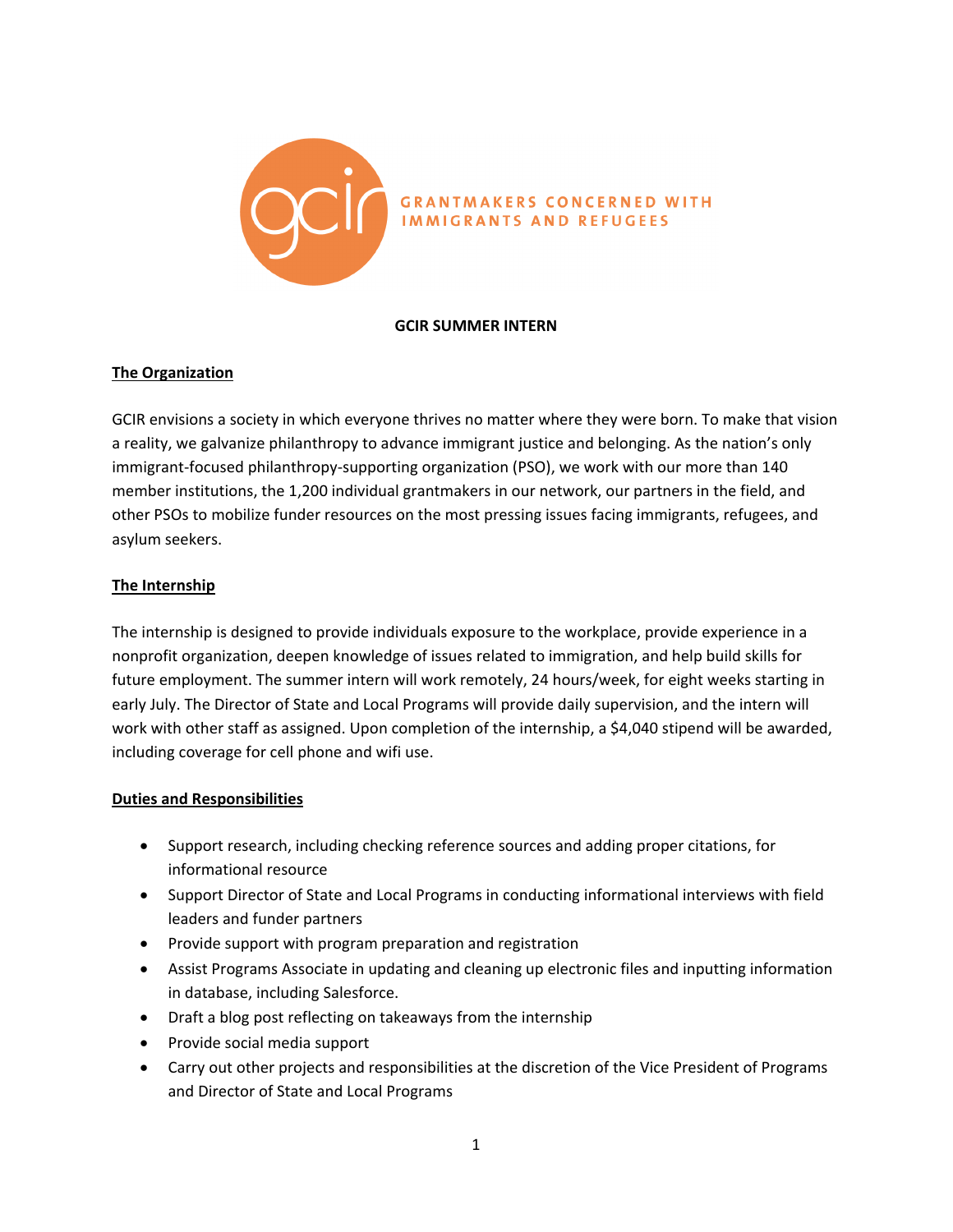

#### **GCIR SUMMER INTERN**

# **The Organization**

GCIR envisions a society in which everyone thrives no matter where they were born. To make that vision a reality, we galvanize philanthropy to advance immigrant justice and belonging. As the nation's only immigrant-focused philanthropy-supporting organization (PSO), we work with our more than 140 member institutions, the 1,200 individual grantmakers in our network, our partners in the field, and other PSOs to mobilize funder resources on the most pressing issues facing immigrants, refugees, and asylum seekers.

# **The Internship**

The internship is designed to provide individuals exposure to the workplace, provide experience in a nonprofit organization, deepen knowledge of issues related to immigration, and help build skills for future employment. The summer intern will work remotely, 24 hours/week, for eight weeks starting in early July. The Director of State and Local Programs will provide daily supervision, and the intern will work with other staff as assigned. Upon completion of the internship, a \$4,040 stipend will be awarded, including coverage for cell phone and wifi use.

### **Duties and Responsibilities**

- Support research, including checking reference sources and adding proper citations, for informational resource
- Support Director of State and Local Programs in conducting informational interviews with field leaders and funder partners
- Provide support with program preparation and registration
- Assist Programs Associate in updating and cleaning up electronic files and inputting information in database, including Salesforce.
- Draft a blog post reflecting on takeaways from the internship
- Provide social media support
- Carry out other projects and responsibilities at the discretion of the Vice President of Programs and Director of State and Local Programs